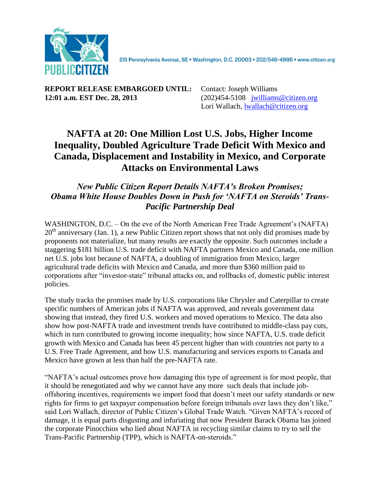

215 Pennsylvania Avenue, SE · Washington, D.C. 20003 · 202/546-4996 · www.citizen.org

**REPORT RELEASE EMBARGOED UNTIL:** Contact: Joseph Williams **12:01 a.m. EST Dec. 28, 2013** (202)454-5108 [jwilliams@citizen.org](mailto:jwilliams@citizen.org)

Lori Wallach, [lwallach@citizen.org](mailto:lwallach@citizen.org)

## **NAFTA at 20: One Million Lost U.S. Jobs, Higher Income Inequality, Doubled Agriculture Trade Deficit With Mexico and Canada, Displacement and Instability in Mexico, and Corporate Attacks on Environmental Laws**

## *New Public Citizen Report Details NAFTA's Broken Promises; Obama White House Doubles Down in Push for 'NAFTA on Steroids' Trans-Pacific Partnership Deal*

WASHINGTON, D.C. – On the eve of the North American Free Trade Agreement's (NAFTA)  $20<sup>th</sup>$  anniversary (Jan. 1), a new Public Citizen report shows that not only did promises made by proponents not materialize, but many results are exactly the opposite. Such outcomes include a staggering \$181 billion U.S. trade deficit with NAFTA partners Mexico and Canada, one million net U.S. jobs lost because of NAFTA, a doubling of immigration from Mexico, larger agricultural trade deficits with Mexico and Canada, and more than \$360 million paid to corporations after "investor-state" tribunal attacks on, and rollbacks of, domestic public interest policies.

The study tracks the promises made by U.S. corporations like Chrysler and Caterpillar to create specific numbers of American jobs if NAFTA was approved, and reveals government data showing that instead, they fired U.S. workers and moved operations to Mexico. The data also show how post-NAFTA trade and investment trends have contributed to middle-class pay cuts, which in turn contributed to growing income inequality; how since NAFTA, U.S. trade deficit growth with Mexico and Canada has been 45 percent higher than with countries not party to a U.S. Free Trade Agreement, and how U.S. manufacturing and services exports to Canada and Mexico have grown at less than half the pre-NAFTA rate.

"NAFTA's actual outcomes prove how damaging this type of agreement is for most people, that it should be renegotiated and why we cannot have any more such deals that include joboffshoring incentives, requirements we import food that doesn't meet our safety standards or new rights for firms to get taxpayer compensation before foreign tribunals over laws they don't like," said Lori Wallach, director of Public Citizen's Global Trade Watch. "Given NAFTA's record of damage, it is equal parts disgusting and infuriating that now President Barack Obama has joined the corporate Pinocchios who lied about NAFTA in recycling similar claims to try to sell the Trans-Pacific Partnership (TPP), which is NAFTA-on-steroids."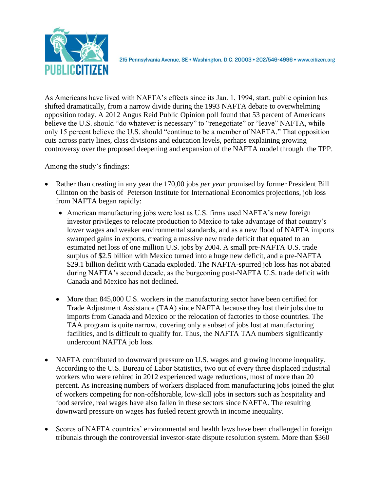

215 Pennsylvania Avenue, SE · Washington, D.C. 20003 · 202/546-4996 · www.citizen.org

As Americans have lived with NAFTA's effects since its Jan. 1, 1994, start, public opinion has shifted dramatically, from a narrow divide during the 1993 NAFTA debate to overwhelming opposition today. A 2012 Angus Reid Public Opinion poll found that 53 percent of Americans believe the U.S. should "do whatever is necessary" to "renegotiate" or "leave" NAFTA, while only 15 percent believe the U.S. should "continue to be a member of NAFTA." That opposition cuts across party lines, class divisions and education levels, perhaps explaining growing controversy over the proposed deepening and expansion of the NAFTA model through the TPP.

Among the study's findings:

- Rather than creating in any year the 170,00 jobs *per year* promised by former President Bill Clinton on the basis of Peterson Institute for International Economics projections, job loss from NAFTA began rapidly:
	- American manufacturing jobs were lost as U.S. firms used NAFTA's new foreign investor privileges to relocate production to Mexico to take advantage of that country's lower wages and weaker environmental standards, and as a new flood of NAFTA imports swamped gains in exports, creating a massive new trade deficit that equated to an estimated net loss of one million U.S. jobs by 2004. A small pre-NAFTA U.S. trade surplus of \$2.5 billion with Mexico turned into a huge new deficit, and a pre-NAFTA \$29.1 billion deficit with Canada exploded. The NAFTA-spurred job loss has not abated during NAFTA's second decade, as the burgeoning post-NAFTA U.S. trade deficit with Canada and Mexico has not declined.
	- More than 845,000 U.S. workers in the manufacturing sector have been certified for Trade Adjustment Assistance (TAA) since NAFTA because they lost their jobs due to imports from Canada and Mexico or the relocation of factories to those countries. The TAA program is quite narrow, covering only a subset of jobs lost at manufacturing facilities, and is difficult to qualify for. Thus, the NAFTA TAA numbers significantly undercount NAFTA job loss.
- NAFTA contributed to downward pressure on U.S. wages and growing income inequality. According to the U.S. Bureau of Labor Statistics, two out of every three displaced industrial workers who were rehired in 2012 experienced wage reductions, most of more than 20 percent. As increasing numbers of workers displaced from manufacturing jobs joined the glut of workers competing for non-offshorable, low-skill jobs in sectors such as hospitality and food service, real wages have also fallen in these sectors since NAFTA. The resulting downward pressure on wages has fueled recent growth in income inequality.
- Scores of NAFTA countries' environmental and health laws have been challenged in foreign tribunals through the controversial investor-state dispute resolution system. More than \$360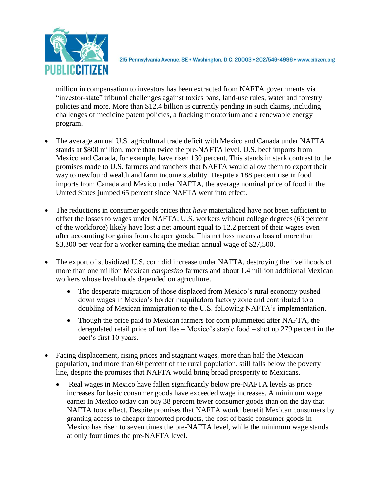

2I5 Pennsylvania Avenue, SE · Washington, D.C. 20003 · 202/546-4996 · www.citizen.org

million in compensation to investors has been extracted from NAFTA governments via "investor-state" tribunal challenges against toxics bans, land-use rules, water and forestry policies and more. More than \$12.4 billion is currently pending in such claims**,** including challenges of medicine patent policies, a fracking moratorium and a renewable energy program.

- The average annual U.S. agricultural trade deficit with Mexico and Canada under NAFTA stands at \$800 million, more than twice the pre-NAFTA level. U.S. beef imports from Mexico and Canada, for example, have risen 130 percent. This stands in stark contrast to the promises made to U.S. farmers and ranchers that NAFTA would allow them to export their way to newfound wealth and farm income stability. Despite a 188 percent rise in food imports from Canada and Mexico under NAFTA, the average nominal price of food in the United States jumped 65 percent since NAFTA went into effect.
- The reductions in consumer goods prices that *have* materialized have not been sufficient to offset the losses to wages under NAFTA; U.S. workers without college degrees (63 percent of the workforce) likely have lost a net amount equal to 12.2 percent of their wages even after accounting for gains from cheaper goods. This net loss means a loss of more than \$3,300 per year for a worker earning the median annual wage of \$27,500.
- The export of subsidized U.S. corn did increase under NAFTA, destroying the livelihoods of more than one million Mexican *campesino* farmers and about 1.4 million additional Mexican workers whose livelihoods depended on agriculture.
	- The desperate migration of those displaced from Mexico's rural economy pushed down wages in Mexico's border maquiladora factory zone and contributed to a doubling of Mexican immigration to the U.S. following NAFTA's implementation.
	- Though the price paid to Mexican farmers for corn plummeted after NAFTA, the deregulated retail price of tortillas – Mexico's staple food – shot up 279 percent in the pact's first 10 years.
- Facing displacement, rising prices and stagnant wages, more than half the Mexican population, and more than 60 percent of the rural population, still falls below the poverty line, despite the promises that NAFTA would bring broad prosperity to Mexicans.
	- Real wages in Mexico have fallen significantly below pre-NAFTA levels as price increases for basic consumer goods have exceeded wage increases. A minimum wage earner in Mexico today can buy 38 percent fewer consumer goods than on the day that NAFTA took effect. Despite promises that NAFTA would benefit Mexican consumers by granting access to cheaper imported products, the cost of basic consumer goods in Mexico has risen to seven times the pre-NAFTA level, while the minimum wage stands at only four times the pre-NAFTA level.